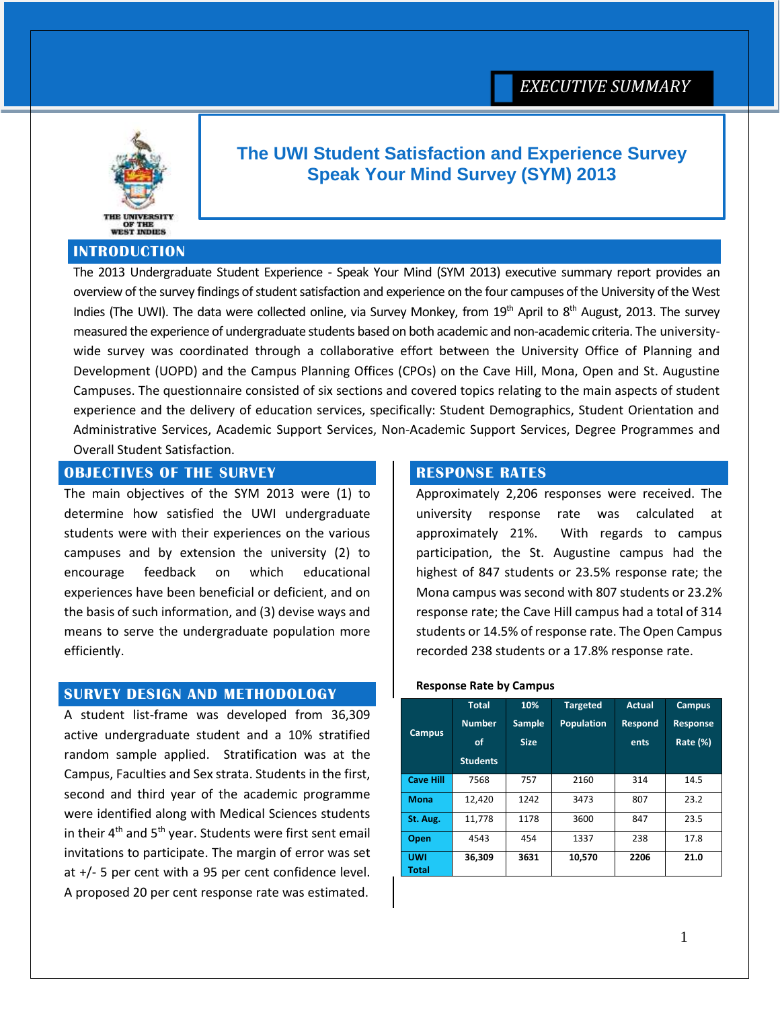

# **The UWI Student Satisfaction and Experience Survey Speak Your Mind Survey (SYM) 2013**

### **INTRODUCTION**

The 2013 Undergraduate Student Experience - Speak Your Mind (SYM 2013) executive summary report provides an overview of the survey findings of student satisfaction and experience on the four campuses of the University of the West Indies (The UWI). The data were collected online, via Survey Monkey, from 19<sup>th</sup> April to 8<sup>th</sup> August, 2013. The survey measured the experience of undergraduate students based on both academic and non-academic criteria. The universitywide survey was coordinated through a collaborative effort between the University Office of Planning and Development (UOPD) and the Campus Planning Offices (CPOs) on the Cave Hill, Mona, Open and St. Augustine Campuses. The questionnaire consisted of six sections and covered topics relating to the main aspects of student experience and the delivery of education services, specifically: Student Demographics, Student Orientation and Administrative Services, Academic Support Services, Non-Academic Support Services, Degree Programmes and Overall Student Satisfaction.

# **OBJECTIVES OF THE SURVEY**

The main objectives of the SYM 2013 were (1) to determine how satisfied the UWI undergraduate students were with their experiences on the various campuses and by extension the university (2) to encourage feedback on which educational experiences have been beneficial or deficient, and on the basis of such information, and (3) devise ways and means to serve the undergraduate population more efficiently.

### **SURVEY DESIGN AND METHODOLOGY**

A student list-frame was developed from 36,309 active undergraduate student and a 10% stratified random sample applied. Stratification was at the Campus, Faculties and Sex strata. Students in the first, second and third year of the academic programme were identified along with Medical Sciences students in their  $4<sup>th</sup>$  and  $5<sup>th</sup>$  year. Students were first sent email invitations to participate. The margin of error was set at +/- 5 per cent with a 95 per cent confidence level. A proposed 20 per cent response rate was estimated.

### **RESPONSE RATES**

Approximately 2,206 responses were received. The university response rate was calculated at approximately 21%. With regards to campus participation, the St. Augustine campus had the highest of 847 students or 23.5% response rate; the Mona campus was second with 807 students or 23.2% response rate; the Cave Hill campus had a total of 314 students or 14.5% of response rate. The Open Campus recorded 238 students or a 17.8% response rate.

#### **Response Rate by Campus**

| <b>Campus</b>       | <b>Total</b><br><b>Number</b><br>of<br><b>Students</b> | 10%<br><b>Sample</b><br><b>Size</b> | <b>Targeted</b><br><b>Population</b> | Actual<br><b>Respond</b><br>ents | <b>Campus</b><br><b>Response</b><br>Rate (%) |
|---------------------|--------------------------------------------------------|-------------------------------------|--------------------------------------|----------------------------------|----------------------------------------------|
| <b>Cave Hill</b>    | 7568                                                   | 757                                 | 2160                                 | 314                              | 14.5                                         |
| <b>Mona</b>         | 12,420                                                 | 1242                                | 3473                                 | 807                              | 23.2                                         |
| St. Aug.            | 11,778                                                 | 1178                                | 3600                                 | 847                              | 23.5                                         |
| <b>Open</b>         | 4543                                                   | 454                                 | 1337                                 | 238                              | 17.8                                         |
| <b>UWI</b><br>Total | 36.309                                                 | 3631                                | 10,570                               | 2206                             | 21.0                                         |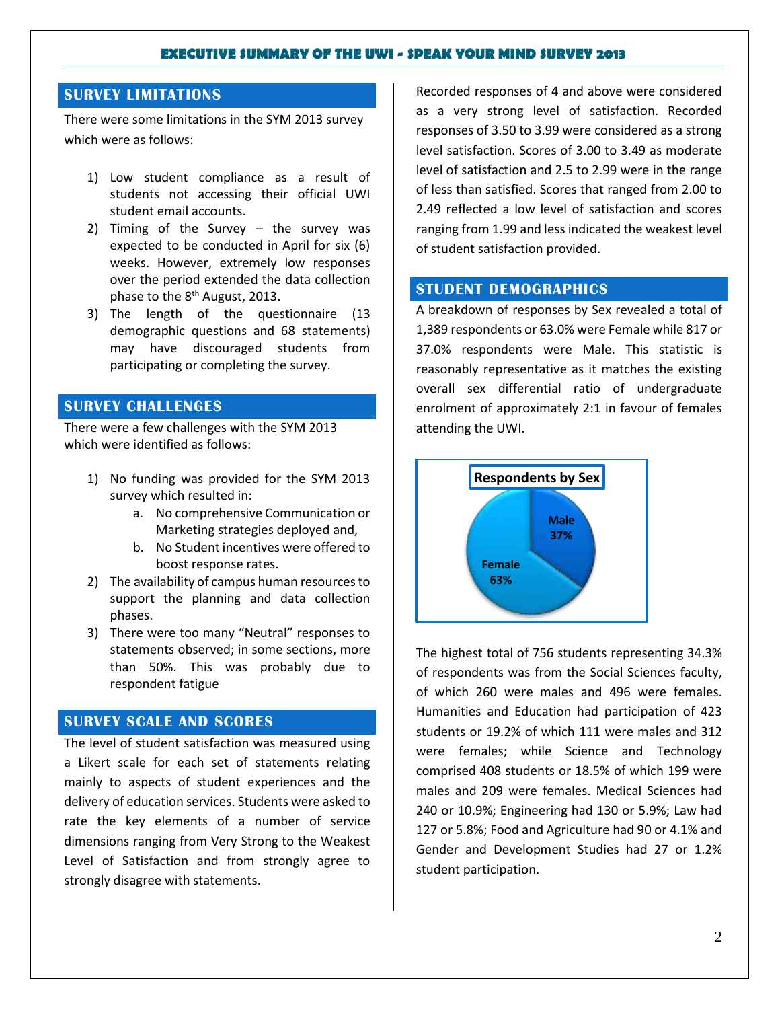### **SURVEY LIMITATIONS**

There were some limitations in the SYM 2013 survey which were as follows:

- 1) Low student compliance as a result of students not accessing their official UWI student email accounts.
- 2) Timing of the Survey the survey was expected to be conducted in April for six (6) weeks. However, extremely low responses over the period extended the data collection phase to the 8<sup>th</sup> August, 2013.
- 3) The length of the questionnaire (13 demographic questions and 68 statements) may have discouraged students from participating or completing the survey.

### **SURVEY CHALLENGES**

There were a few challenges with the SYM 2013 which were identified as follows:

- 1) No funding was provided for the SYM 2013 survey which resulted in:
	- a. No comprehensive Communication or Marketing strategies deployed and,
	- b. No Student incentives were offered to boost response rates.
- 2) The availability of campus human resources to support the planning and data collection phases.
- 3) There were too many "Neutral" responses to statements observed; in some sections, more than 50%. This was probably due to respondent fatigue

## **SURVEY SCALE AND SCORES**

The level of student satisfaction was measured using a Likert scale for each set of statements relating mainly to aspects of student experiences and the delivery of education services. Students were asked to rate the key elements of a number of service dimensions ranging from Very Strong to the Weakest Level of Satisfaction and from strongly agree to strongly disagree with statements.

Recorded responses of 4 and above were considered as a very strong level of satisfaction. Recorded responses of 3.50 to 3.99 were considered as a strong level satisfaction. Scores of 3.00 to 3.49 as moderate level of satisfaction and 2.5 to 2.99 were in the range of less than satisfied. Scores that ranged from 2.00 to 2.49 reflected a low level of satisfaction and scores ranging from 1.99 and less indicated the weakest level of student satisfaction provided.

### **STUDENT DEMOGRAPHICS**

A breakdown of responses by Sex revealed a total of 1,389 respondents or 63.0% were Female while 817 or 37.0% respondents were Male. This statistic is reasonably representative as it matches the existing overall sex differential ratio of undergraduate enrolment of approximately 2:1 in favour of females attending the UWI.



The highest total of 756 students representing 34.3% of respondents was from the Social Sciences faculty, of which 260 were males and 496 were females. Humanities and Education had participation of 423 students or 19.2% of which 111 were males and 312 were females; while Science and Technology comprised 408 students or 18.5% of which 199 were males and 209 were females. Medical Sciences had 240 or 10.9%; Engineering had 130 or 5.9%; Law had 127 or 5.8%; Food and Agriculture had 90 or 4.1% and Gender and Development Studies had 27 or 1.2% student participation.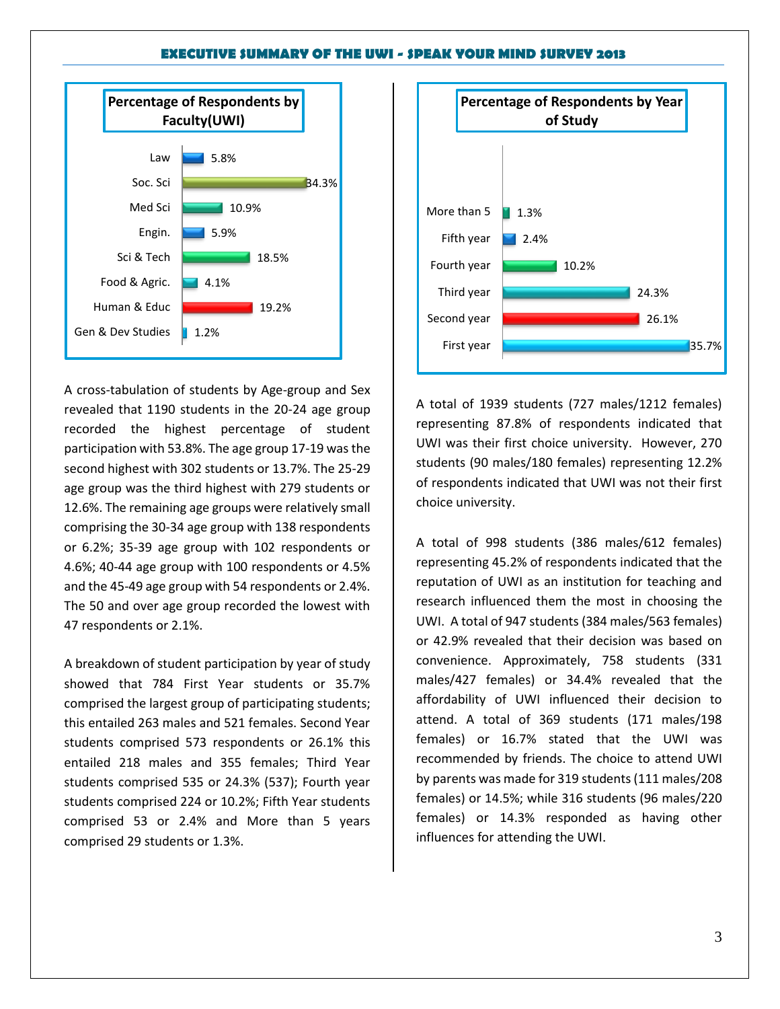

A cross-tabulation of students by Age-group and Sex revealed that 1190 students in the 20-24 age group recorded the highest percentage of student participation with 53.8%. The age group 17-19 was the second highest with 302 students or 13.7%. The 25-29 age group was the third highest with 279 students or 12.6%. The remaining age groups were relatively small comprising the 30-34 age group with 138 respondents or 6.2%; 35-39 age group with 102 respondents or 4.6%; 40-44 age group with 100 respondents or 4.5% and the 45-49 age group with 54 respondents or 2.4%. The 50 and over age group recorded the lowest with 47 respondents or 2.1%.

A breakdown of student participation by year of study showed that 784 First Year students or 35.7% comprised the largest group of participating students; this entailed 263 males and 521 females. Second Year students comprised 573 respondents or 26.1% this entailed 218 males and 355 females; Third Year students comprised 535 or 24.3% (537); Fourth year students comprised 224 or 10.2%; Fifth Year students comprised 53 or 2.4% and More than 5 years comprised 29 students or 1.3%.



A total of 1939 students (727 males/1212 females) representing 87.8% of respondents indicated that UWI was their first choice university. However, 270 students (90 males/180 females) representing 12.2% of respondents indicated that UWI was not their first choice university.

A total of 998 students (386 males/612 females) representing 45.2% of respondents indicated that the reputation of UWI as an institution for teaching and research influenced them the most in choosing the UWI. A total of 947 students (384 males/563 females) or 42.9% revealed that their decision was based on convenience. Approximately, 758 students (331 males/427 females) or 34.4% revealed that the affordability of UWI influenced their decision to attend. A total of 369 students (171 males/198 females) or 16.7% stated that the UWI was recommended by friends. The choice to attend UWI by parents was made for 319 students (111 males/208 females) or 14.5%; while 316 students (96 males/220 females) or 14.3% responded as having other influences for attending the UWI.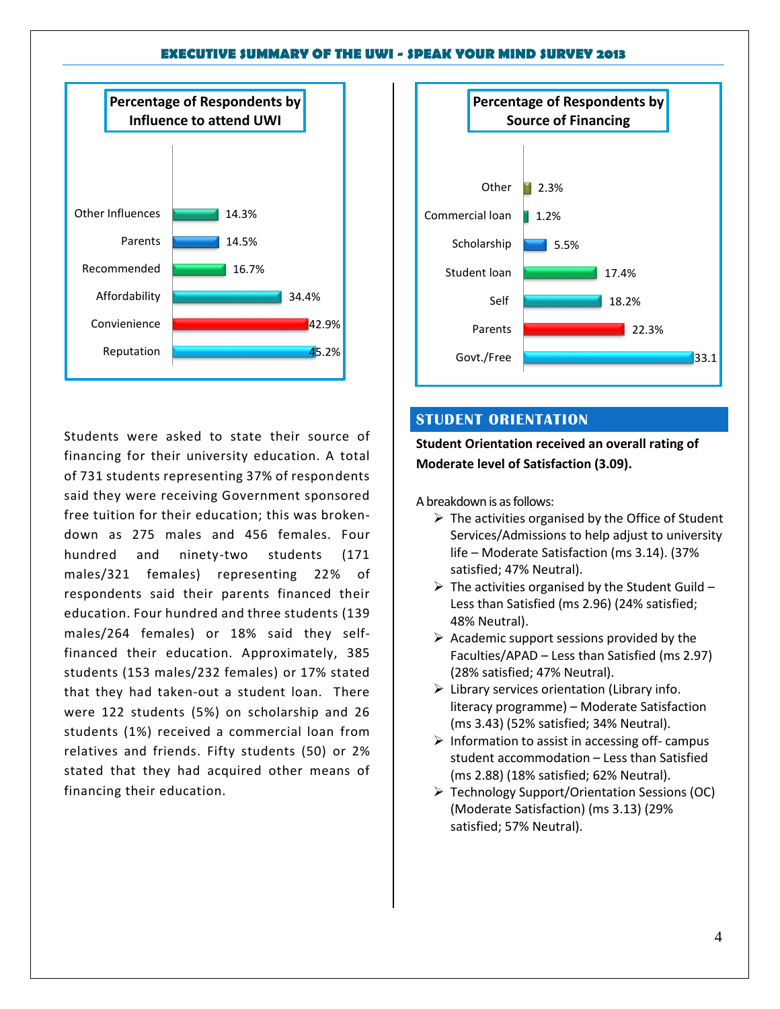

Students were asked to state their source of financing for their university education. A total of 731 students representing 37% of respondents said they were receiving Government sponsored free tuition for their education; this was brokendown as 275 males and 456 females. Four hundred and ninety-two students (171 males/321 females) representing 22% of respondents said their parents financed their education. Four hundred and three students (139 males/264 females) or 18% said they selffinanced their education. Approximately, 385 students (153 males/232 females) or 17% stated that they had taken-out a student loan. There were 122 students (5%) on scholarship and 26 students (1%) received a commercial loan from relatives and friends. Fifty students (50) or 2% stated that they had acquired other means of financing their education.



### **STUDENT ORIENTATION**

**Student Orientation received an overall rating of Moderate level of Satisfaction (3.09).**

A breakdown is as follows:

- $\triangleright$  The activities organised by the Office of Student Services/Admissions to help adjust to university life – Moderate Satisfaction (ms 3.14). (37% satisfied; 47% Neutral).
- $\triangleright$  The activities organised by the Student Guild -Less than Satisfied (ms 2.96) (24% satisfied; 48% Neutral).
- $\triangleright$  Academic support sessions provided by the Faculties/APAD – Less than Satisfied (ms 2.97) (28% satisfied; 47% Neutral).
- $\triangleright$  Library services orientation (Library info. literacy programme) – Moderate Satisfaction (ms 3.43) (52% satisfied; 34% Neutral).
- $\triangleright$  Information to assist in accessing off- campus student accommodation – Less than Satisfied (ms 2.88) (18% satisfied; 62% Neutral).
- Technology Support/Orientation Sessions (OC) (Moderate Satisfaction) (ms 3.13) (29% satisfied; 57% Neutral).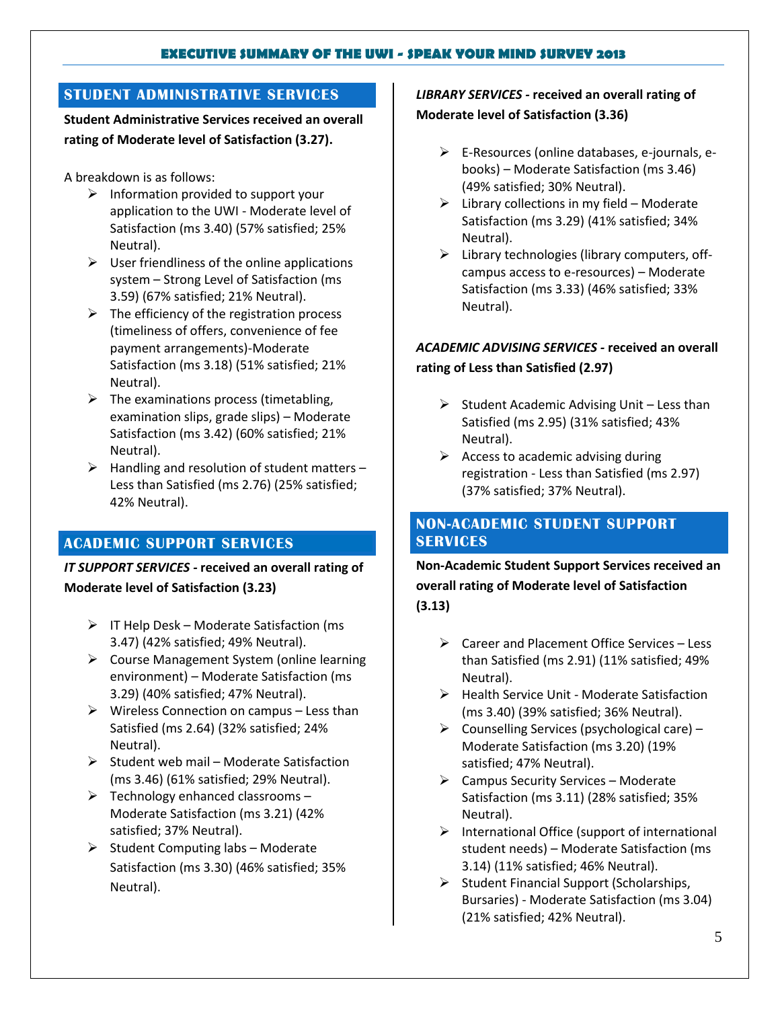# **STUDENT ADMINISTRATIVE SERVICES**

**Student Administrative Services received an overall rating of Moderate level of Satisfaction (3.27).** 

A breakdown is as follows:

- $\triangleright$  Information provided to support your application to the UWI - Moderate level of Satisfaction (ms 3.40) (57% satisfied; 25% Neutral).
- $\triangleright$  User friendliness of the online applications system – Strong Level of Satisfaction (ms 3.59) (67% satisfied; 21% Neutral).
- $\triangleright$  The efficiency of the registration process (timeliness of offers, convenience of fee payment arrangements)-Moderate Satisfaction (ms 3.18) (51% satisfied; 21% Neutral).
- $\triangleright$  The examinations process (timetabling, examination slips, grade slips) – Moderate Satisfaction (ms 3.42) (60% satisfied; 21% Neutral).
- $\triangleright$  Handling and resolution of student matters Less than Satisfied (ms 2.76) (25% satisfied; 42% Neutral).

# **ACADEMIC SUPPORT SERVICES**

*IT SUPPORT SERVICES -* **received an overall rating of Moderate level of Satisfaction (3.23)**

- $\triangleright$  IT Help Desk Moderate Satisfaction (ms 3.47) (42% satisfied; 49% Neutral).
- $\triangleright$  Course Management System (online learning environment) – Moderate Satisfaction (ms 3.29) (40% satisfied; 47% Neutral).
- $\triangleright$  Wireless Connection on campus Less than Satisfied (ms 2.64) (32% satisfied; 24% Neutral).
- $\triangleright$  Student web mail Moderate Satisfaction (ms 3.46) (61% satisfied; 29% Neutral).
- $\triangleright$  Technology enhanced classrooms Moderate Satisfaction (ms 3.21) (42% satisfied; 37% Neutral).
- $\triangleright$  Student Computing labs Moderate Satisfaction (ms 3.30) (46% satisfied; 35% Neutral).

# *LIBRARY SERVICES -* **received an overall rating of Moderate level of Satisfaction (3.36)**

- E-Resources (online databases, e-journals, ebooks) – Moderate Satisfaction (ms 3.46) (49% satisfied; 30% Neutral).
- $\triangleright$  Library collections in my field Moderate Satisfaction (ms 3.29) (41% satisfied; 34% Neutral).
- $\triangleright$  Library technologies (library computers, offcampus access to e-resources) – Moderate Satisfaction (ms 3.33) (46% satisfied; 33% Neutral).

# *ACADEMIC ADVISING SERVICES -* **received an overall rating of Less than Satisfied (2.97)**

- $\triangleright$  Student Academic Advising Unit Less than Satisfied (ms 2.95) (31% satisfied; 43% Neutral).
- $\triangleright$  Access to academic advising during registration - Less than Satisfied (ms 2.97) (37% satisfied; 37% Neutral).

## **NON-ACADEMIC STUDENT SUPPORT SERVICES**

**Non-Academic Student Support Services received an overall rating of Moderate level of Satisfaction (3.13)**

- Career and Placement Office Services Less than Satisfied (ms 2.91) (11% satisfied; 49% Neutral).
- $\triangleright$  Health Service Unit Moderate Satisfaction (ms 3.40) (39% satisfied; 36% Neutral).
- $\triangleright$  Counselling Services (psychological care) Moderate Satisfaction (ms 3.20) (19% satisfied; 47% Neutral).
- $\triangleright$  Campus Security Services Moderate Satisfaction (ms 3.11) (28% satisfied; 35% Neutral).
- $\triangleright$  International Office (support of international student needs) – Moderate Satisfaction (ms 3.14) (11% satisfied; 46% Neutral).
- $\triangleright$  Student Financial Support (Scholarships, Bursaries) - Moderate Satisfaction (ms 3.04) (21% satisfied; 42% Neutral).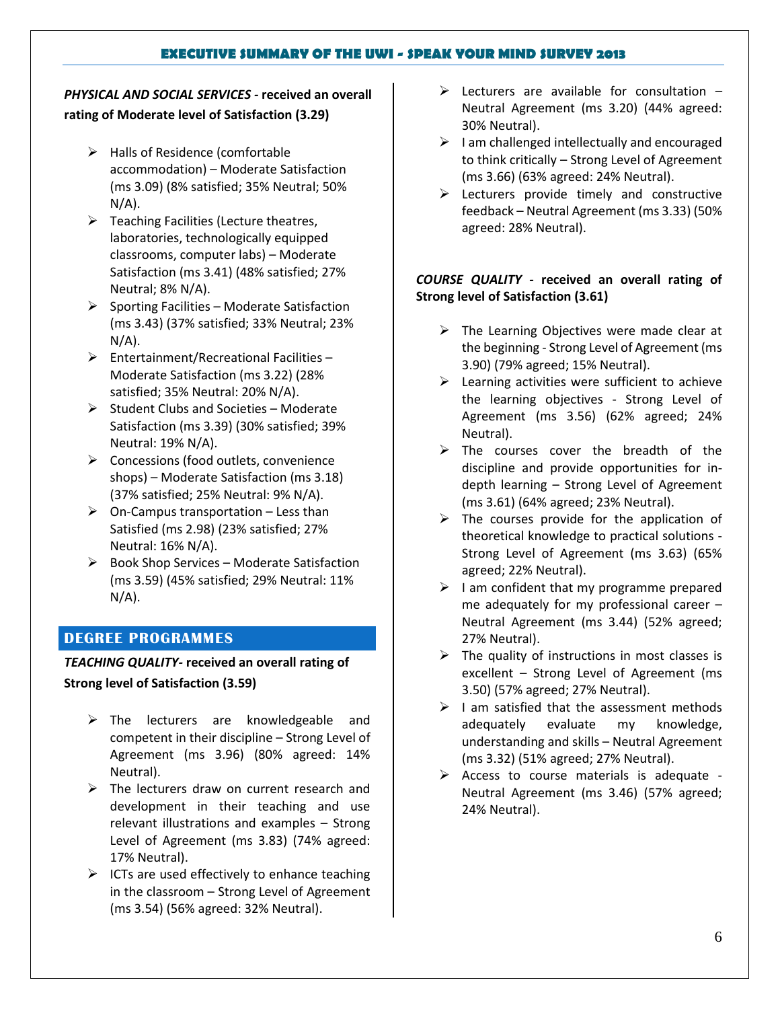# *PHYSICAL AND SOCIAL SERVICES -* **received an overall rating of Moderate level of Satisfaction (3.29)**

- $\triangleright$  Halls of Residence (comfortable accommodation) – Moderate Satisfaction (ms 3.09) (8% satisfied; 35% Neutral; 50%  $N/A$ ).
- $\triangleright$  Teaching Facilities (Lecture theatres, laboratories, technologically equipped classrooms, computer labs) – Moderate Satisfaction (ms 3.41) (48% satisfied; 27% Neutral; 8% N/A).
- $\triangleright$  Sporting Facilities Moderate Satisfaction (ms 3.43) (37% satisfied; 33% Neutral; 23%  $N/A$ ).
- $\triangleright$  Entertainment/Recreational Facilities Moderate Satisfaction (ms 3.22) (28% satisfied; 35% Neutral: 20% N/A).
- $\triangleright$  Student Clubs and Societies Moderate Satisfaction (ms 3.39) (30% satisfied; 39% Neutral: 19% N/A).
- $\triangleright$  Concessions (food outlets, convenience shops) – Moderate Satisfaction (ms 3.18) (37% satisfied; 25% Neutral: 9% N/A).
- $\triangleright$  On-Campus transportation Less than Satisfied (ms 2.98) (23% satisfied; 27% Neutral: 16% N/A).
- $\triangleright$  Book Shop Services Moderate Satisfaction (ms 3.59) (45% satisfied; 29% Neutral: 11%  $N/A$ ).

# **DEGREE PROGRAMMES**

### *TEACHING QUALITY-* **received an overall rating of**

### **Strong level of Satisfaction (3.59)**

- $\triangleright$  The lecturers are knowledgeable and competent in their discipline – Strong Level of Agreement (ms 3.96) (80% agreed: 14% Neutral).
- $\triangleright$  The lecturers draw on current research and development in their teaching and use relevant illustrations and examples – Strong Level of Agreement (ms 3.83) (74% agreed: 17% Neutral).
- $\triangleright$  ICTs are used effectively to enhance teaching in the classroom – Strong Level of Agreement (ms 3.54) (56% agreed: 32% Neutral).
- $\triangleright$  Lecturers are available for consultation  $-$ Neutral Agreement (ms 3.20) (44% agreed: 30% Neutral).
- $\triangleright$  I am challenged intellectually and encouraged to think critically – Strong Level of Agreement (ms 3.66) (63% agreed: 24% Neutral).
- $\triangleright$  Lecturers provide timely and constructive feedback – Neutral Agreement (ms 3.33) (50% agreed: 28% Neutral).

## *COURSE QUALITY -* **received an overall rating of Strong level of Satisfaction (3.61)**

- $\triangleright$  The Learning Objectives were made clear at the beginning - Strong Level of Agreement (ms 3.90) (79% agreed; 15% Neutral).
- $\triangleright$  Learning activities were sufficient to achieve the learning objectives - Strong Level of Agreement (ms 3.56) (62% agreed; 24% Neutral).
- $\triangleright$  The courses cover the breadth of the discipline and provide opportunities for indepth learning – Strong Level of Agreement (ms 3.61) (64% agreed; 23% Neutral).
- $\triangleright$  The courses provide for the application of theoretical knowledge to practical solutions - Strong Level of Agreement (ms 3.63) (65% agreed; 22% Neutral).
- $\triangleright$  I am confident that my programme prepared me adequately for my professional career – Neutral Agreement (ms 3.44) (52% agreed; 27% Neutral).
- $\triangleright$  The quality of instructions in most classes is excellent – Strong Level of Agreement (ms 3.50) (57% agreed; 27% Neutral).
- $\triangleright$  I am satisfied that the assessment methods adequately evaluate my knowledge, understanding and skills – Neutral Agreement (ms 3.32) (51% agreed; 27% Neutral).
- $\triangleright$  Access to course materials is adequate -Neutral Agreement (ms 3.46) (57% agreed; 24% Neutral).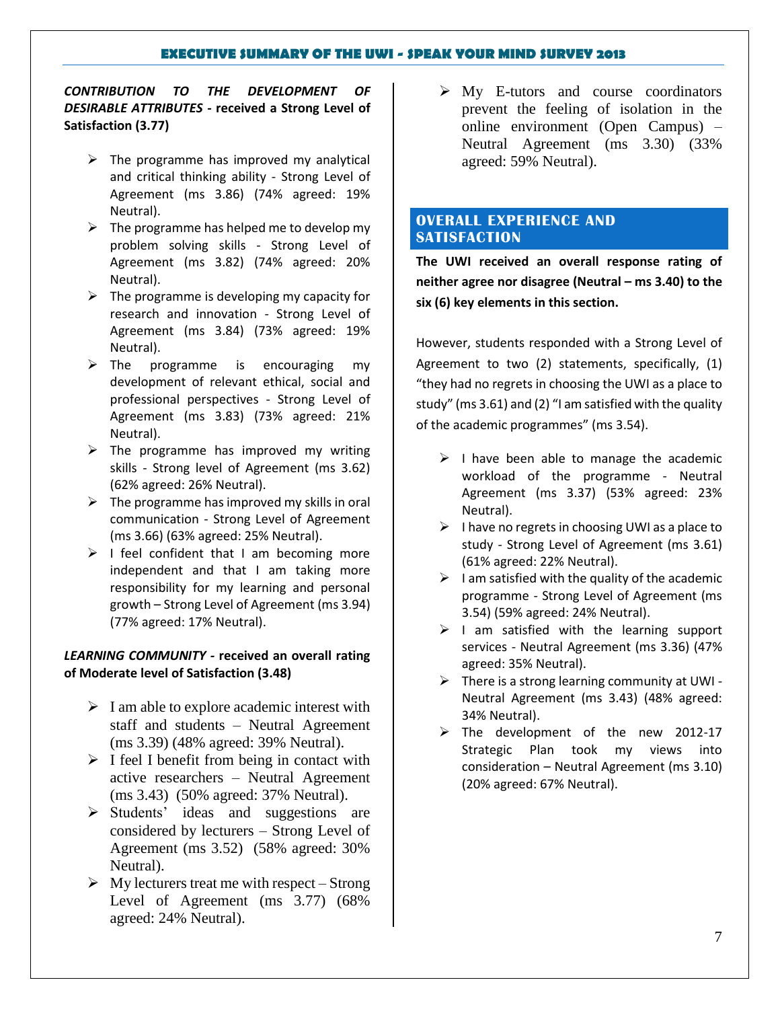*CONTRIBUTION TO THE DEVELOPMENT OF DESIRABLE ATTRIBUTES -* **received a Strong Level of Satisfaction (3.77)**

- $\triangleright$  The programme has improved my analytical and critical thinking ability - Strong Level of Agreement (ms 3.86) (74% agreed: 19% Neutral).
- $\triangleright$  The programme has helped me to develop my problem solving skills - Strong Level of Agreement (ms 3.82) (74% agreed: 20% Neutral).
- $\triangleright$  The programme is developing my capacity for research and innovation - Strong Level of Agreement (ms 3.84) (73% agreed: 19% Neutral).
- $\triangleright$  The programme is encouraging my development of relevant ethical, social and professional perspectives - Strong Level of Agreement (ms 3.83) (73% agreed: 21% Neutral).
- $\triangleright$  The programme has improved my writing skills - Strong level of Agreement (ms 3.62) (62% agreed: 26% Neutral).
- $\triangleright$  The programme has improved my skills in oral communication - Strong Level of Agreement (ms 3.66) (63% agreed: 25% Neutral).
- $\triangleright$  I feel confident that I am becoming more independent and that I am taking more responsibility for my learning and personal growth – Strong Level of Agreement (ms 3.94) (77% agreed: 17% Neutral).

### *LEARNING COMMUNITY -* **received an overall rating of Moderate level of Satisfaction (3.48)**

- $\triangleright$  I am able to explore academic interest with staff and students – Neutral Agreement (ms 3.39) (48% agreed: 39% Neutral).
- $\triangleright$  I feel I benefit from being in contact with active researchers – Neutral Agreement (ms 3.43) (50% agreed: 37% Neutral).
- $\triangleright$  Students' ideas and suggestions are considered by lecturers – Strong Level of Agreement (ms 3.52) (58% agreed: 30% Neutral).
- $\triangleright$  My lecturers treat me with respect Strong Level of Agreement (ms 3.77) (68% agreed: 24% Neutral).

 $\triangleright$  My E-tutors and course coordinators prevent the feeling of isolation in the online environment (Open Campus) – Neutral Agreement (ms 3.30) (33% agreed: 59% Neutral).

## **OVERALL EXPERIENCE AND SATISFACTION**

**The UWI received an overall response rating of neither agree nor disagree (Neutral – ms 3.40) to the six (6) key elements in this section.**

However, students responded with a Strong Level of Agreement to two (2) statements, specifically, (1) "they had no regrets in choosing the UWI as a place to study" (ms 3.61) and (2) "I am satisfied with the quality of the academic programmes" (ms 3.54).

- $\triangleright$  I have been able to manage the academic workload of the programme - Neutral Agreement (ms 3.37) (53% agreed: 23% Neutral).
- $\triangleright$  I have no regrets in choosing UWI as a place to study - Strong Level of Agreement (ms 3.61) (61% agreed: 22% Neutral).
- $\triangleright$  I am satisfied with the quality of the academic programme - Strong Level of Agreement (ms 3.54) (59% agreed: 24% Neutral).
- $\triangleright$  I am satisfied with the learning support services - Neutral Agreement (ms 3.36) (47% agreed: 35% Neutral).
- $\triangleright$  There is a strong learning community at UWI -Neutral Agreement (ms 3.43) (48% agreed: 34% Neutral).
- $\triangleright$  The development of the new 2012-17 Strategic Plan took my views into consideration – Neutral Agreement (ms 3.10) (20% agreed: 67% Neutral).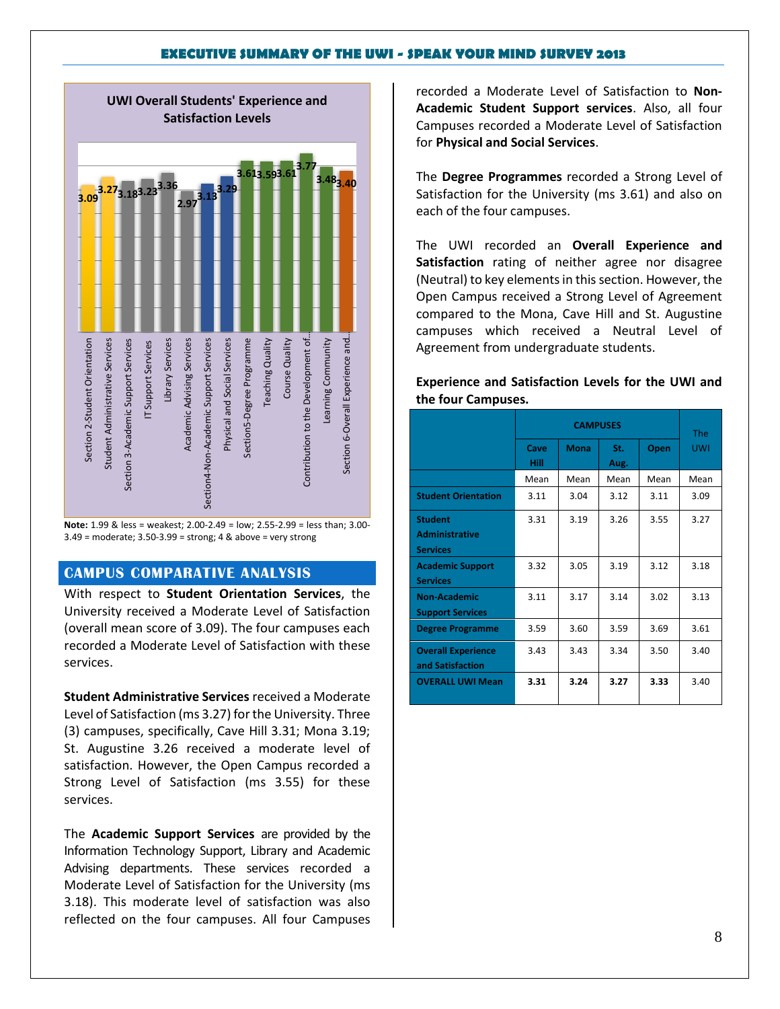

**Note:** 1.99 & less = weakest; 2.00-2.49 = low; 2.55-2.99 = less than; 3.00- 3.49 = moderate; 3.50-3.99 = strong; 4 & above = very strong

### **CAMPUS COMPARATIVE ANALYSIS**

With respect to **Student Orientation Services**, the University received a Moderate Level of Satisfaction (overall mean score of 3.09). The four campuses each recorded a Moderate Level of Satisfaction with these services.

**Student Administrative Services** received a Moderate Level of Satisfaction (ms 3.27) for the University. Three (3) campuses, specifically, Cave Hill 3.31; Mona 3.19; St. Augustine 3.26 received a moderate level of satisfaction. However, the Open Campus recorded a Strong Level of Satisfaction (ms 3.55) for these services.

The **Academic Support Services** are provided by the Information Technology Support, Library and Academic Advising departments. These services recorded a Moderate Level of Satisfaction for the University (ms 3.18). This moderate level of satisfaction was also reflected on the four campuses. All four Campuses recorded a Moderate Level of Satisfaction to **Non-Academic Student Support services**. Also, all four Campuses recorded a Moderate Level of Satisfaction for **Physical and Social Services**.

The **Degree Programmes** recorded a Strong Level of Satisfaction for the University (ms 3.61) and also on each of the four campuses.

The UWI recorded an **Overall Experience and Satisfaction** rating of neither agree nor disagree (Neutral) to key elements in this section. However, the Open Campus received a Strong Level of Agreement compared to the Mona, Cave Hill and St. Augustine campuses which received a Neutral Level of Agreement from undergraduate students.

**Experience and Satisfaction Levels for the UWI and the four Campuses.**

|                                                            |              | <b>The</b>  |             |      |            |
|------------------------------------------------------------|--------------|-------------|-------------|------|------------|
|                                                            | Cave<br>Hill | <b>Mona</b> | St.<br>Aug. | Open | <b>UWI</b> |
|                                                            | Mean         | Mean        | Mean        | Mean | Mean       |
| <b>Student Orientation</b>                                 | 3.11         | 3.04        | 3.12        | 3.11 | 3.09       |
| <b>Student</b><br><b>Administrative</b><br><b>Services</b> | 3.31         | 3.19        | 3.26        | 3.55 | 3.27       |
| <b>Academic Support</b><br><b>Services</b>                 | 3.32         | 3.05        | 3.19        | 3.12 | 3.18       |
| <b>Non-Academic</b><br><b>Support Services</b>             | 3.11         | 3.17        | 3.14        | 3.02 | 3.13       |
| <b>Degree Programme</b>                                    | 3.59         | 3.60        | 3.59        | 3.69 | 3.61       |
| <b>Overall Experience</b><br>and Satisfaction              | 3.43         | 3.43        | 3.34        | 3.50 | 3.40       |
| <b>OVERALL UWI Mean</b>                                    | 3.31         | 3.24        | 3.27        | 3.33 | 3.40       |